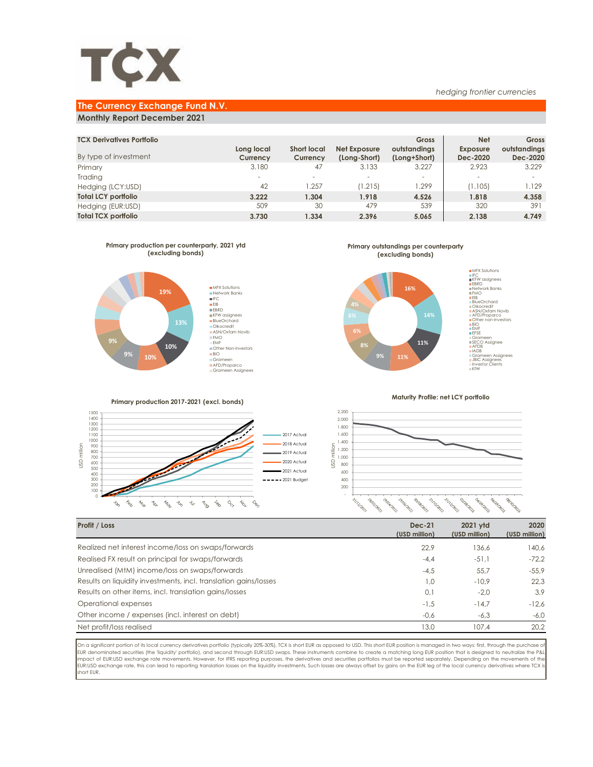

### *hedging frontier currencies*

# **The Currency Exchange Fund N.V.**

## **Monthly Report December 2021**

| <b>TCX Derivatives Portfolio</b><br>By type of investment | Long local<br>Currency   | <b>Short local</b><br>Currency | Net Exposure<br>(Long-Short) | <b>Gross</b><br>outstandings<br>(Long+Short) | <b>Net</b><br><b>Exposure</b><br>Dec-2020 | Gross<br>outstandings<br>Dec-2020 |
|-----------------------------------------------------------|--------------------------|--------------------------------|------------------------------|----------------------------------------------|-------------------------------------------|-----------------------------------|
| Primary                                                   | 3.180                    | 47                             | 3.133                        | 3.227                                        | 2.923                                     | 3.229                             |
| Trading                                                   | $\overline{\phantom{a}}$ |                                | $\overline{\phantom{a}}$     | $\overline{\phantom{a}}$                     | $\overline{\phantom{a}}$                  |                                   |
| Hedging (LCY:USD)                                         | 42                       | .257                           | (1.215)                      | .299                                         | (1.105)                                   | 1.129                             |
| <b>Total LCY portfolio</b>                                | 3.222                    | 1.304                          | 1.918                        | 4.526                                        | 1.818                                     | 4.358                             |
| Hedging (EUR:USD)                                         | 509                      | 30                             | 479                          | 539                                          | 320                                       | 391                               |
| <b>Total TCX portfolio</b>                                | 3.730                    | 1.334                          | 2.396                        | 5.065                                        | 2.138                                     | 4.749                             |



**Primary production 2017-2021 (excl. bonds)**

**Primary outstandings per counterparty (excluding bonds)**



**Maturity Profile: net LCY portfolio**

Õ,



| Profit / Loss                                                    | <b>Dec-21</b><br>(USD million) | 2021 vtd<br>(USD million) | 2020<br>(USD million) |
|------------------------------------------------------------------|--------------------------------|---------------------------|-----------------------|
| Realized net interest income/loss on swaps/forwards              | 22.9                           | 136.6                     | 140.6                 |
| Realised FX result on principal for swaps/forwards               | $-4.4$                         | $-51.1$                   | $-72.2$               |
| Unrealised (MtM) income/loss on swaps/forwards                   | $-4.5$                         | 55,7                      | $-55,9$               |
| Results on liquidity investments, incl. translation gains/losses | 1.0                            | $-10.9$                   | 22,3                  |
| Results on other items, incl. translation gains/losses           | 0,1                            | $-2.0$                    | 3,9                   |
| Operational expenses                                             | $-1.5$                         | $-14.7$                   | $-12.6$               |
| Other income / expenses (incl. interest on debt)                 | $-0.6$                         | $-6.3$                    | $-6.0$                |
| Net profit/loss realised                                         | 13,0                           | 107.4                     | 20.2                  |
|                                                                  |                                |                           |                       |

On a significant portion of its local currency derivatives portfolio (typically 20%-30%), TCX is short EUR as opposed to USD. This short EUR position is managed in two ways: first, through the purchase of<br>EUR denominated s impact of EUR:USD exchange rate movements. However, for IFRS reporting purposes, the derivatives and securities portfolios must be reported separately. Depending on the movements of the<br>EUR:USD exchange rate, this can lead short EUR.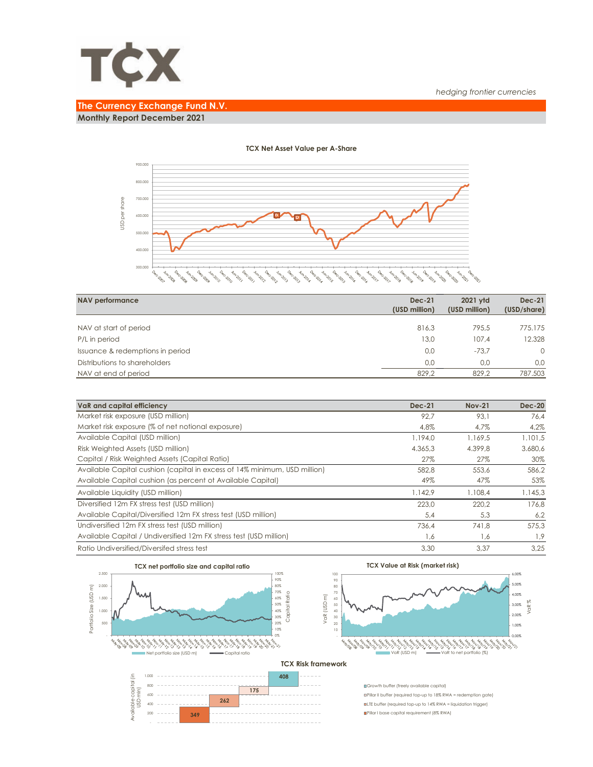

## *hedging frontier currencies*

# **The Currency Exchange Fund N.V.**

**Monthly Report December 2021**



## **TCX Net Asset Value per A-Share**

| NAV performance                  | <b>Dec-21</b><br>(USD million) | 2021 vtd<br>(USD million) | <b>Dec-21</b><br>(USD/share) |
|----------------------------------|--------------------------------|---------------------------|------------------------------|
|                                  |                                |                           |                              |
| NAV at start of period           | 816,3                          | 795.5                     | 775.175                      |
| P/L in period                    | 13,0                           | 107.4                     | 12.328                       |
| Issuance & redemptions in period | 0,0                            | $-73.7$                   | $\Omega$                     |
| Distributions to shareholders    | 0.0                            | 0.0                       | 0.0                          |
| NAV at end of period             | 829,2                          | 829.2                     | 787.503                      |

| VaR and capital efficiency                                                | $Dec-21$ | <b>Nov-21</b> | <b>Dec-20</b> |
|---------------------------------------------------------------------------|----------|---------------|---------------|
| Market risk exposure (USD million)                                        | 92.7     | 93.1          | 76.4          |
| Market risk exposure (% of net notional exposure)                         | 4.8%     | 4.7%          | 4,2%          |
| Available Capital (USD million)                                           | 1.194,0  | 1.169,5       | 1.101,5       |
| Risk Weighted Assets (USD million)                                        | 4.365.3  | 4.399.8       | 3.680,6       |
| Capital / Risk Weighted Assets (Capital Ratio)                            | 27%      | 27%           | 30%           |
| Available Capital cushion (capital in excess of 14% minimum, USD million) | 582.8    | 553.6         | 586,2         |
| Available Capital cushion (as percent of Available Capital)               | 49%      | 47%           | 53%           |
| Available Liquidity (USD million)                                         | 1.142.9  | 1.108.4       | 1.145,3       |
| Diversified 12m FX stress test (USD million)                              | 223.0    | 220.2         | 176.8         |
| Available Capital/Diversified 12m FX stress test (USD million)            | 5,4      | 5.3           | 6,2           |
| Undiversified 12m FX stress test (USD million)                            | 736.4    | 741.8         | 575.3         |
| Available Capital / Undiversified 12m FX stress test (USD million)        | 1,6      | 1,6           | 1,9           |
| Ratio Undiversified/Diversifed stress test                                | 3.30     | 3.37          | 3.25          |



**349** 

 - 200 **TCX Value at Risk (market risk)**



### **TCX Risk framework**

Growth buffer (freely available capital) Pillar II buffer (required top-up to 18% RWA = redemption gate) LTE buffer (required top-up to 14% RWA = liquidation trigger) Pillar I base capital requirement (8% RWA)